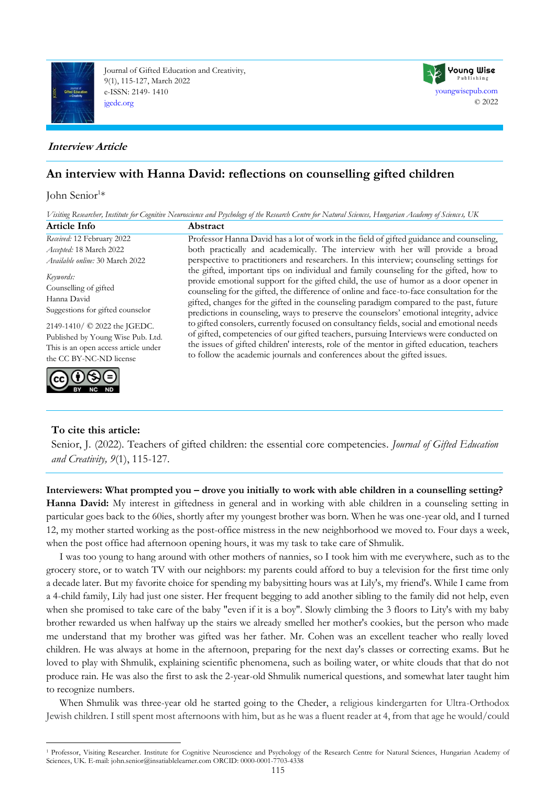

Journal of Gifted Education and Creativity, 9(1), 115-127, March 2022 e-ISSN: 2149- 1410 [jgedc.org](https://dergipark.org.tr/en/pub/jgedc)



# **An interview with Hanna David: reflections on counselling gifted children**

# John Senior<sup>1</sup>\*

*Visiting Researcher, Institute for Cognitive Neuroscience and Psychology of the Research Centre for Natural Sciences, Hungarian Academy of Sciences, UK*

[youngwisepub.com](https://youngwisepub.com/)

**Young Wise** Publishing

© 2022

| <b>Article Info</b>                                                                                                                                                                                                                   | Abstract                                                                                                                                                                                                                                                                                                                                                                                                                                                                                                                                                                                                                                                                                                                                                                                                                       |
|---------------------------------------------------------------------------------------------------------------------------------------------------------------------------------------------------------------------------------------|--------------------------------------------------------------------------------------------------------------------------------------------------------------------------------------------------------------------------------------------------------------------------------------------------------------------------------------------------------------------------------------------------------------------------------------------------------------------------------------------------------------------------------------------------------------------------------------------------------------------------------------------------------------------------------------------------------------------------------------------------------------------------------------------------------------------------------|
| Received: 12 February 2022                                                                                                                                                                                                            | Professor Hanna David has a lot of work in the field of gifted guidance and counseling,                                                                                                                                                                                                                                                                                                                                                                                                                                                                                                                                                                                                                                                                                                                                        |
| Accepted: 18 March 2022                                                                                                                                                                                                               | both practically and academically. The interview with her will provide a broad                                                                                                                                                                                                                                                                                                                                                                                                                                                                                                                                                                                                                                                                                                                                                 |
| Available online: 30 March 2022                                                                                                                                                                                                       | perspective to practitioners and researchers. In this interview; counseling settings for                                                                                                                                                                                                                                                                                                                                                                                                                                                                                                                                                                                                                                                                                                                                       |
| Keywords:<br>Counselling of gifted<br>Hanna David<br>Suggestions for gifted counselor<br>2149-1410/ © 2022 the JGEDC.<br>Published by Young Wise Pub. Ltd.<br>This is an open access article under<br>the CC BY-NC-ND license<br>(cc) | the gifted, important tips on individual and family counseling for the gifted, how to<br>provide emotional support for the gifted child, the use of humor as a door opener in<br>counseling for the gifted, the difference of online and face-to-face consultation for the<br>gifted, changes for the gifted in the counseling paradigm compared to the past, future<br>predictions in counseling, ways to preserve the counselors' emotional integrity, advice<br>to gifted consolers, currently focused on consultancy fields, social and emotional needs<br>of gifted, competencies of our gifted teachers, pursuing Interviews were conducted on<br>the issues of gifted children' interests, role of the mentor in gifted education, teachers<br>to follow the academic journals and conferences about the gifted issues. |

# **To cite this article:**

Senior, J. (2022). Teachers of gifted children: the essential core competencies. *Journal of Gifted Education and Creativity, 9*(1), 115-127.

#### **Interviewers: What prompted you – drove you initially to work with able children in a counselling setting?**

**Hanna David:** My interest in giftedness in general and in working with able children in a counseling setting in particular goes back to the 60ies, shortly after my youngest brother was born. When he was one-year old, and I turned 12, my mother started working as the post-office mistress in the new neighborhood we moved to. Four days a week, when the post office had afternoon opening hours, it was my task to take care of Shmulik.

I was too young to hang around with other mothers of nannies, so I took him with me everywhere, such as to the grocery store, or to watch TV with our neighbors: my parents could afford to buy a television for the first time only a decade later. But my favorite choice for spending my babysitting hours was at Lily's, my friend's. While I came from a 4-child family, Lily had just one sister. Her frequent begging to add another sibling to the family did not help, even when she promised to take care of the baby "even if it is a boy". Slowly climbing the 3 floors to Lity's with my baby brother rewarded us when halfway up the stairs we already smelled her mother's cookies, but the person who made me understand that my brother was gifted was her father. Mr. Cohen was an excellent teacher who really loved children. He was always at home in the afternoon, preparing for the next day's classes or correcting exams. But he loved to play with Shmulik, explaining scientific phenomena, such as boiling water, or white clouds that that do not produce rain. He was also the first to ask the 2-year-old Shmulik numerical questions, and somewhat later taught him to recognize numbers.

When Shmulik was three-year old he started going to the Cheder, a religious kindergarten for Ultra-Orthodox Jewish children. I still spent most afternoons with him, but as he was a fluent reader at 4, from that age he would/could

<sup>&</sup>lt;sup>1</sup> Professor, Visiting Researcher. Institute for Cognitive Neuroscience and Psychology of the Research Centre for Natural Sciences, Hungarian Academy of Sciences, UK. E-mail[: john.senior@insatiablelearner.com](mailto:john.senior@insatiablelearner.com) ORCID: 0000-0001-7703-4338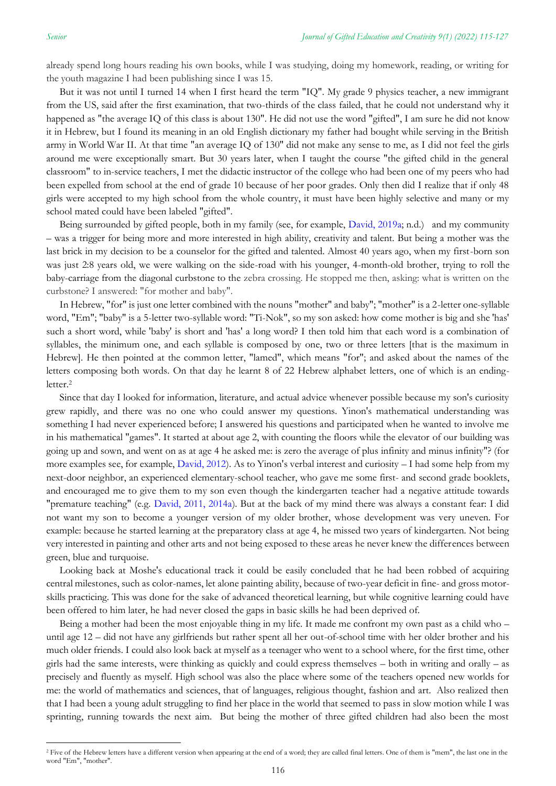already spend long hours reading his own books, while I was studying, doing my homework, reading, or writing for the youth magazine I had been publishing since I was 15.

But it was not until I turned 14 when I first heard the term "IQ". My grade 9 physics teacher, a new immigrant from the US, said after the first examination, that two-thirds of the class failed, that he could not understand why it happened as "the average IQ of this class is about 130". He did not use the word "gifted", I am sure he did not know it in Hebrew, but I found its meaning in an old English dictionary my father had bought while serving in the British army in World War II. At that time "an average IQ of 130" did not make any sense to me, as I did not feel the girls around me were exceptionally smart. But 30 years later, when I taught the course "the gifted child in the general classroom" to in-service teachers, I met the didactic instructor of the college who had been one of my peers who had been expelled from school at the end of grade 10 because of her poor grades. Only then did I realize that if only 48 girls were accepted to my high school from the whole country, it must have been highly selective and many or my school mated could have been labeled "gifted".

Being surrounded by gifted people, both in my family (see, for example, [David, 2019a;](#page-11-0) n.d.) and my community – was a trigger for being more and more interested in high ability, creativity and talent. But being a mother was the last brick in my decision to be a counselor for the gifted and talented. Almost 40 years ago, when my first-born son was just 2:8 years old, we were walking on the side-road with his younger, 4-month-old brother, trying to roll the baby-carriage from the diagonal curbstone to the zebra crossing. He stopped me then, asking: what is written on the curbstone? I answered: "for mother and baby".

In Hebrew, "for" is just one letter combined with the nouns "mother" and baby"; "mother" is a 2-letter one-syllable word, "Em"; "baby" is a 5-letter two-syllable word: "Ti-Nok", so my son asked: how come mother is big and she 'has' such a short word, while 'baby' is short and 'has' a long word? I then told him that each word is a combination of syllables, the minimum one, and each syllable is composed by one, two or three letters [that is the maximum in Hebrew]. He then pointed at the common letter, "lamed", which means "for"; and asked about the names of the letters composing both words. On that day he learnt 8 of 22 Hebrew alphabet letters, one of which is an endingletter.<sup>2</sup>

Since that day I looked for information, literature, and actual advice whenever possible because my son's curiosity grew rapidly, and there was no one who could answer my questions. Yinon's mathematical understanding was something I had never experienced before; I answered his questions and participated when he wanted to involve me in his mathematical "games". It started at about age 2, with counting the floors while the elevator of our building was going up and sown, and went on as at age 4 he asked me: is zero the average of plus infinity and minus infinity"? (for more examples see, for example, [David, 2012\)](#page-11-0). As to Yinon's verbal interest and curiosity – I had some help from my next-door neighbor, an experienced elementary-school teacher, who gave me some first- and second grade booklets, and encouraged me to give them to my son even though the kindergarten teacher had a negative attitude towards "premature teaching" (e.g. [David, 2011, 2014a\)](#page-11-0). But at the back of my mind there was always a constant fear: I did not want my son to become a younger version of my older brother, whose development was very uneven. For example: because he started learning at the preparatory class at age 4, he missed two years of kindergarten. Not being very interested in painting and other arts and not being exposed to these areas he never knew the differences between green, blue and turquoise.

Looking back at Moshe's educational track it could be easily concluded that he had been robbed of acquiring central milestones, such as color-names, let alone painting ability, because of two-year deficit in fine- and gross motorskills practicing. This was done for the sake of advanced theoretical learning, but while cognitive learning could have been offered to him later, he had never closed the gaps in basic skills he had been deprived of.

Being a mother had been the most enjoyable thing in my life. It made me confront my own past as a child who – until age 12 – did not have any girlfriends but rather spent all her out-of-school time with her older brother and his much older friends. I could also look back at myself as a teenager who went to a school where, for the first time, other girls had the same interests, were thinking as quickly and could express themselves – both in writing and orally – as precisely and fluently as myself. High school was also the place where some of the teachers opened new worlds for me: the world of mathematics and sciences, that of languages, religious thought, fashion and art. Also realized then that I had been a young adult struggling to find her place in the world that seemed to pass in slow motion while I was sprinting, running towards the next aim. But being the mother of three gifted children had also been the most

<sup>&</sup>lt;sup>2</sup> Five of the Hebrew letters have a different version when appearing at the end of a word; they are called final letters. One of them is "mem", the last one in the word "Em", "mother".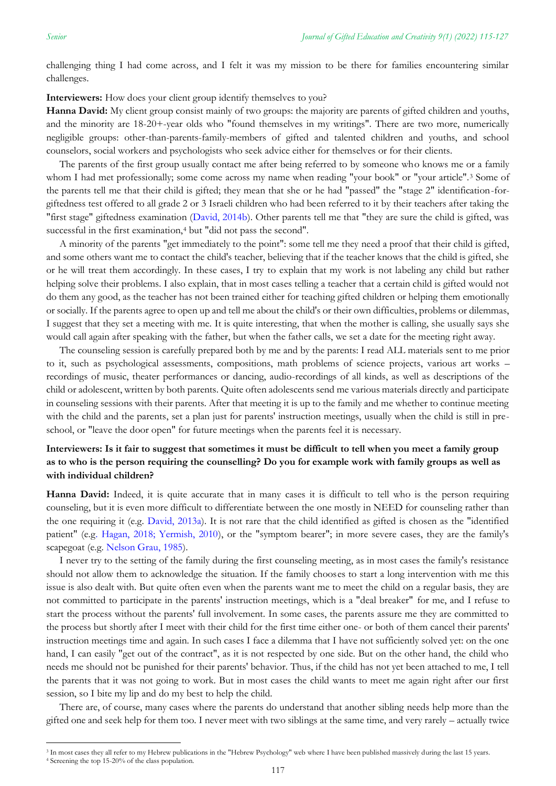challenging thing I had come across, and I felt it was my mission to be there for families encountering similar challenges.

**Interviewers:** How does your client group identify themselves to you?

**Hanna David:** My client group consist mainly of two groups: the majority are parents of gifted children and youths, and the minority are 18-20+-year olds who "found themselves in my writings". There are two more, numerically negligible groups: other-than-parents-family-members of gifted and talented children and youths, and school counselors, social workers and psychologists who seek advice either for themselves or for their clients.

The parents of the first group usually contact me after being referred to by someone who knows me or a family whom I had met professionally; some come across my name when reading "your book" or "your article".<sup>3</sup> Some of the parents tell me that their child is gifted; they mean that she or he had "passed" the "stage 2" identification-forgiftedness test offered to all grade 2 or 3 Israeli children who had been referred to it by their teachers after taking the "first stage" giftedness examination [\(David, 2014b\)](#page-11-0). Other parents tell me that "they are sure the child is gifted, was successful in the first examination,<sup>4</sup> but "did not pass the second".

A minority of the parents "get immediately to the point": some tell me they need a proof that their child is gifted, and some others want me to contact the child's teacher, believing that if the teacher knows that the child is gifted, she or he will treat them accordingly. In these cases, I try to explain that my work is not labeling any child but rather helping solve their problems. I also explain, that in most cases telling a teacher that a certain child is gifted would not do them any good, as the teacher has not been trained either for teaching gifted children or helping them emotionally or socially. If the parents agree to open up and tell me about the child's or their own difficulties, problems or dilemmas, I suggest that they set a meeting with me. It is quite interesting, that when the mother is calling, she usually says she would call again after speaking with the father, but when the father calls, we set a date for the meeting right away.

The counseling session is carefully prepared both by me and by the parents: I read ALL materials sent to me prior to it, such as psychological assessments, compositions, math problems of science projects, various art works – recordings of music, theater performances or dancing, audio-recordings of all kinds, as well as descriptions of the child or adolescent, written by both parents. Quite often adolescents send me various materials directly and participate in counseling sessions with their parents. After that meeting it is up to the family and me whether to continue meeting with the child and the parents, set a plan just for parents' instruction meetings, usually when the child is still in preschool, or "leave the door open" for future meetings when the parents feel it is necessary.

### **Interviewers: Is it fair to suggest that sometimes it must be difficult to tell when you meet a family group as to who is the person requiring the counselling? Do you for example work with family groups as well as with individual children?**

**Hanna David:** Indeed, it is quite accurate that in many cases it is difficult to tell who is the person requiring counseling, but it is even more difficult to differentiate between the one mostly in NEED for counseling rather than the one requiring it (e.g. [David, 2013a\)](#page-11-0). It is not rare that the child identified as gifted is chosen as the "identified patient" (e.[g. Hagan, 2018; Yermish, 2010\)](#page-11-0), or the "symptom bearer"; in more severe cases, they are the family's scapegoat (e.g. [Nelson Grau, 1985\)](#page-11-0).

I never try to the setting of the family during the first counseling meeting, as in most cases the family's resistance should not allow them to acknowledge the situation. If the family chooses to start a long intervention with me this issue is also dealt with. But quite often even when the parents want me to meet the child on a regular basis, they are not committed to participate in the parents' instruction meetings, which is a "deal breaker" for me, and I refuse to start the process without the parents' full involvement. In some cases, the parents assure me they are committed to the process but shortly after I meet with their child for the first time either one- or both of them cancel their parents' instruction meetings time and again. In such cases I face a dilemma that I have not sufficiently solved yet: on the one hand, I can easily "get out of the contract", as it is not respected by one side. But on the other hand, the child who needs me should not be punished for their parents' behavior. Thus, if the child has not yet been attached to me, I tell the parents that it was not going to work. But in most cases the child wants to meet me again right after our first session, so I bite my lip and do my best to help the child.

There are, of course, many cases where the parents do understand that another sibling needs help more than the gifted one and seek help for them too. I never meet with two siblings at the same time, and very rarely – actually twice

<sup>&</sup>lt;sup>3</sup> In most cases they all refer to my Hebrew publications in the "Hebrew Psychology" web where I have been published massively during the last 15 years.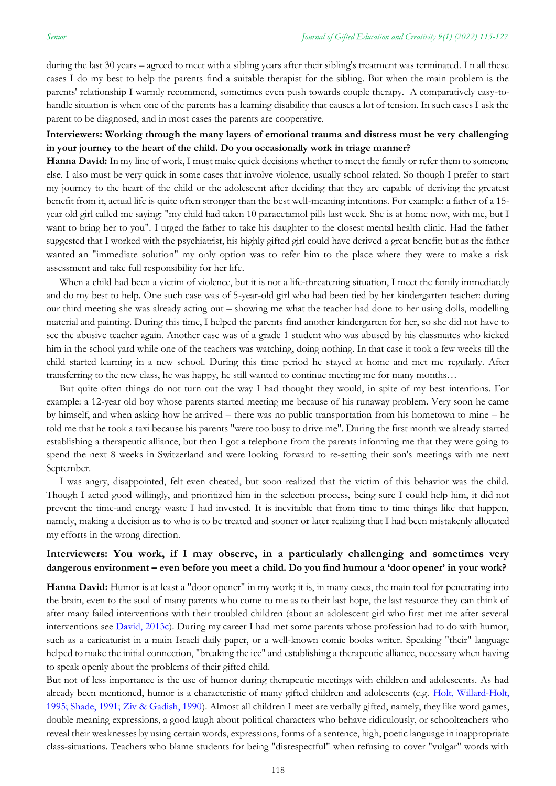during the last 30 years – agreed to meet with a sibling years after their sibling's treatment was terminated. I n all these cases I do my best to help the parents find a suitable therapist for the sibling. But when the main problem is the parents' relationship I warmly recommend, sometimes even push towards couple therapy. A comparatively easy-tohandle situation is when one of the parents has a learning disability that causes a lot of tension. In such cases I ask the parent to be diagnosed, and in most cases the parents are cooperative.

#### **Interviewers: Working through the many layers of emotional trauma and distress must be very challenging in your journey to the heart of the child. Do you occasionally work in triage manner?**

**Hanna David:** In my line of work, I must make quick decisions whether to meet the family or refer them to someone else. I also must be very quick in some cases that involve violence, usually school related. So though I prefer to start my journey to the heart of the child or the adolescent after deciding that they are capable of deriving the greatest benefit from it, actual life is quite often stronger than the best well-meaning intentions. For example: a father of a 15 year old girl called me saying: "my child had taken 10 paracetamol pills last week. She is at home now, with me, but I want to bring her to you". I urged the father to take his daughter to the closest mental health clinic. Had the father suggested that I worked with the psychiatrist, his highly gifted girl could have derived a great benefit; but as the father wanted an "immediate solution" my only option was to refer him to the place where they were to make a risk assessment and take full responsibility for her life.

When a child had been a victim of violence, but it is not a life-threatening situation, I meet the family immediately and do my best to help. One such case was of 5-year-old girl who had been tied by her kindergarten teacher: during our third meeting she was already acting out – showing me what the teacher had done to her using dolls, modelling material and painting. During this time, I helped the parents find another kindergarten for her, so she did not have to see the abusive teacher again. Another case was of a grade 1 student who was abused by his classmates who kicked him in the school yard while one of the teachers was watching, doing nothing. In that case it took a few weeks till the child started learning in a new school. During this time period he stayed at home and met me regularly. After transferring to the new class, he was happy, he still wanted to continue meeting me for many months…

But quite often things do not turn out the way I had thought they would, in spite of my best intentions. For example: a 12-year old boy whose parents started meeting me because of his runaway problem. Very soon he came by himself, and when asking how he arrived – there was no public transportation from his hometown to mine – he told me that he took a taxi because his parents "were too busy to drive me". During the first month we already started establishing a therapeutic alliance, but then I got a telephone from the parents informing me that they were going to spend the next 8 weeks in Switzerland and were looking forward to re-setting their son's meetings with me next September.

I was angry, disappointed, felt even cheated, but soon realized that the victim of this behavior was the child. Though I acted good willingly, and prioritized him in the selection process, being sure I could help him, it did not prevent the time-and energy waste I had invested. It is inevitable that from time to time things like that happen, namely, making a decision as to who is to be treated and sooner or later realizing that I had been mistakenly allocated my efforts in the wrong direction.

### **Interviewers: You work, if I may observe, in a particularly challenging and sometimes very dangerous environment – even before you meet a child. Do you find humour a 'door opener' in your work?**

**Hanna David:** Humor is at least a "door opener" in my work; it is, in many cases, the main tool for penetrating into the brain, even to the soul of many parents who come to me as to their last hope, the last resource they can think of after many failed interventions with their troubled children (about an adolescent girl who first met me after several interventions see [David, 2013c\)](#page-11-0). During my career I had met some parents whose profession had to do with humor, such as a caricaturist in a main Israeli daily paper, or a well-known comic books writer. Speaking "their" language helped to make the initial connection, "breaking the ice" and establishing a therapeutic alliance, necessary when having to speak openly about the problems of their gifted child.

But not of less importance is the use of humor during therapeutic meetings with children and adolescents. As had already been mentioned, humor is a characteristic of many gifted children and adolescents (e.g. [Holt, Willard-Holt,](#page-11-0)  [1995; Shade, 1991; Ziv & Gadish, 1990\)](#page-11-0). Almost all children I meet are verbally gifted, namely, they like word games, double meaning expressions, a good laugh about political characters who behave ridiculously, or schoolteachers who reveal their weaknesses by using certain words, expressions, forms of a sentence, high, poetic language in inappropriate class-situations. Teachers who blame students for being "disrespectful" when refusing to cover "vulgar" words with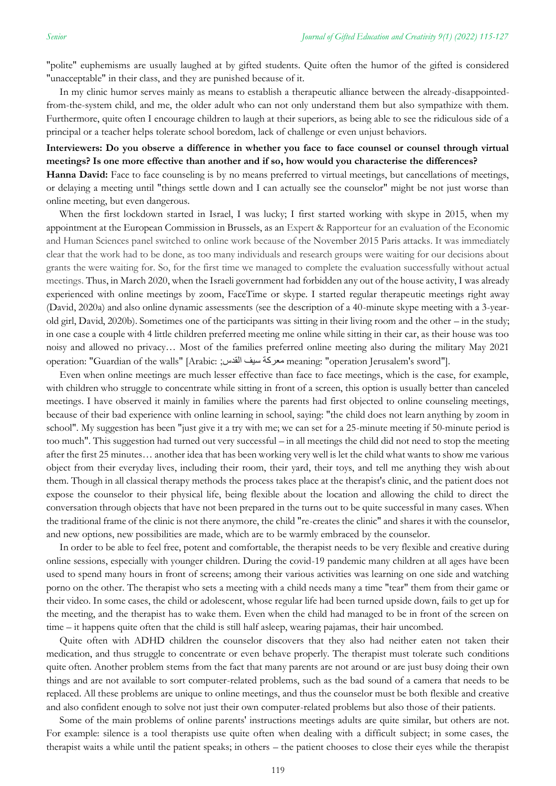"polite" euphemisms are usually laughed at by gifted students. Quite often the humor of the gifted is considered "unacceptable" in their class, and they are punished because of it.

In my clinic humor serves mainly as means to establish a therapeutic alliance between the already-disappointedfrom-the-system child, and me, the older adult who can not only understand them but also sympathize with them. Furthermore, quite often I encourage children to laugh at their superiors, as being able to see the ridiculous side of a principal or a teacher helps tolerate school boredom, lack of challenge or even unjust behaviors.

#### **Interviewers: Do you observe a difference in whether you face to face counsel or counsel through virtual meetings? Is one more effective than another and if so, how would you characterise the differences?**

**Hanna David:** Face to face counseling is by no means preferred to virtual meetings, but cancellations of meetings, or delaying a meeting until "things settle down and I can actually see the counselor" might be not just worse than online meeting, but even dangerous.

When the first lockdown started in Israel, I was lucky; I first started working with skype in 2015, when my appointment at the European Commission in Brussels, as an Expert & Rapporteur for an evaluation of the Economic and Human Sciences panel switched to online work because of the November 2015 Paris attacks. It was immediately clear that the work had to be done, as too many individuals and research groups were waiting for our decisions about grants the were waiting for. So, for the first time we managed to complete the evaluation successfully without actual meetings. Thus, in March 2020, when the Israeli government had forbidden any out of the house activity, I was already experienced with online meetings by zoom, FaceTime or skype. I started regular therapeutic meetings right away (David, 2020a) and also online dynamic assessments (see the description of a 40-minute skype meeting with a 3-yearold girl, David, 2020b). Sometimes one of the participants was sitting in their living room and the other – in the study; in one case a couple with 4 little children preferred meeting me online while sitting in their car, as their house was too noisy and allowed no privacy… Most of the families preferred online meeting also during the military May 2021 operation: "Guardian of the walls" [Arabic: ;القدس سيف معركة meaning: "operation Jerusalem's sword"].

Even when online meetings are much lesser effective than face to face meetings, which is the case, for example, with children who struggle to concentrate while sitting in front of a screen, this option is usually better than canceled meetings. I have observed it mainly in families where the parents had first objected to online counseling meetings, because of their bad experience with online learning in school, saying: "the child does not learn anything by zoom in school". My suggestion has been "just give it a try with me; we can set for a 25-minute meeting if 50-minute period is too much". This suggestion had turned out very successful – in all meetings the child did not need to stop the meeting after the first 25 minutes… another idea that has been working very well is let the child what wants to show me various object from their everyday lives, including their room, their yard, their toys, and tell me anything they wish about them. Though in all classical therapy methods the process takes place at the therapist's clinic, and the patient does not expose the counselor to their physical life, being flexible about the location and allowing the child to direct the conversation through objects that have not been prepared in the turns out to be quite successful in many cases. When the traditional frame of the clinic is not there anymore, the child "re-creates the clinic" and shares it with the counselor, and new options, new possibilities are made, which are to be warmly embraced by the counselor.

In order to be able to feel free, potent and comfortable, the therapist needs to be very flexible and creative during online sessions, especially with younger children. During the covid-19 pandemic many children at all ages have been used to spend many hours in front of screens; among their various activities was learning on one side and watching porno on the other. The therapist who sets a meeting with a child needs many a time "tear" them from their game or their video. In some cases, the child or adolescent, whose regular life had been turned upside down, fails to get up for the meeting, and the therapist has to wake them. Even when the child had managed to be in front of the screen on time – it happens quite often that the child is still half asleep, wearing pajamas, their hair uncombed.

Quite often with ADHD children the counselor discovers that they also had neither eaten not taken their medication, and thus struggle to concentrate or even behave properly. The therapist must tolerate such conditions quite often. Another problem stems from the fact that many parents are not around or are just busy doing their own things and are not available to sort computer-related problems, such as the bad sound of a camera that needs to be replaced. All these problems are unique to online meetings, and thus the counselor must be both flexible and creative and also confident enough to solve not just their own computer-related problems but also those of their patients.

Some of the main problems of online parents' instructions meetings adults are quite similar, but others are not. For example: silence is a tool therapists use quite often when dealing with a difficult subject; in some cases, the therapist waits a while until the patient speaks; in others – the patient chooses to close their eyes while the therapist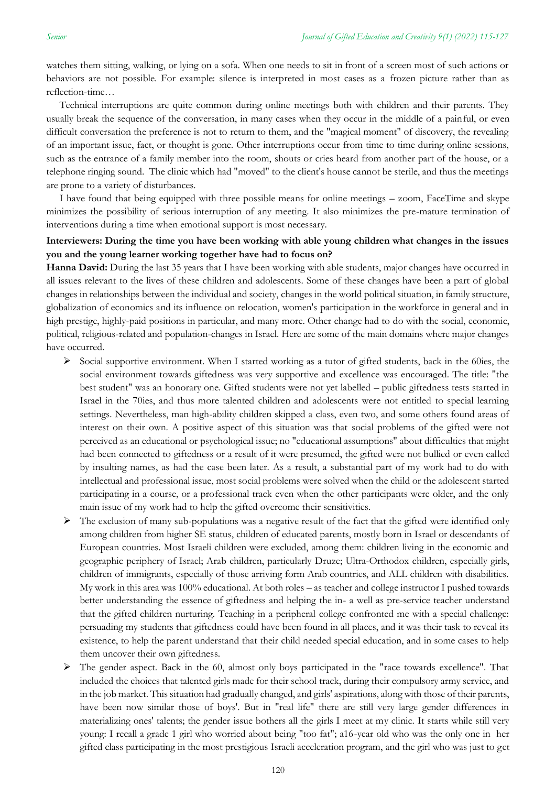watches them sitting, walking, or lying on a sofa. When one needs to sit in front of a screen most of such actions or behaviors are not possible. For example: silence is interpreted in most cases as a frozen picture rather than as reflection-time…

Technical interruptions are quite common during online meetings both with children and their parents. They usually break the sequence of the conversation, in many cases when they occur in the middle of a painful, or even difficult conversation the preference is not to return to them, and the "magical moment" of discovery, the revealing of an important issue, fact, or thought is gone. Other interruptions occur from time to time during online sessions, such as the entrance of a family member into the room, shouts or cries heard from another part of the house, or a telephone ringing sound. The clinic which had "moved" to the client's house cannot be sterile, and thus the meetings are prone to a variety of disturbances.

I have found that being equipped with three possible means for online meetings – zoom, FaceTime and skype minimizes the possibility of serious interruption of any meeting. It also minimizes the pre-mature termination of interventions during a time when emotional support is most necessary.

#### **Interviewers: During the time you have been working with able young children what changes in the issues you and the young learner working together have had to focus on?**

**Hanna David:** During the last 35 years that I have been working with able students, major changes have occurred in all issues relevant to the lives of these children and adolescents. Some of these changes have been a part of global changes in relationships between the individual and society, changes in the world political situation, in family structure, globalization of economics and its influence on relocation, women's participation in the workforce in general and in high prestige, highly-paid positions in particular, and many more. Other change had to do with the social, economic, political, religious-related and population-changes in Israel. Here are some of the main domains where major changes have occurred.

- ➢ Social supportive environment. When I started working as a tutor of gifted students, back in the 60ies, the social environment towards giftedness was very supportive and excellence was encouraged. The title: "the best student" was an honorary one. Gifted students were not yet labelled – public giftedness tests started in Israel in the 70ies, and thus more talented children and adolescents were not entitled to special learning settings. Nevertheless, man high-ability children skipped a class, even two, and some others found areas of interest on their own. A positive aspect of this situation was that social problems of the gifted were not perceived as an educational or psychological issue; no "educational assumptions" about difficulties that might had been connected to giftedness or a result of it were presumed, the gifted were not bullied or even called by insulting names, as had the case been later. As a result, a substantial part of my work had to do with intellectual and professional issue, most social problems were solved when the child or the adolescent started participating in a course, or a professional track even when the other participants were older, and the only main issue of my work had to help the gifted overcome their sensitivities.
- $\triangleright$  The exclusion of many sub-populations was a negative result of the fact that the gifted were identified only among children from higher SE status, children of educated parents, mostly born in Israel or descendants of European countries. Most Israeli children were excluded, among them: children living in the economic and geographic periphery of Israel; Arab children, particularly Druze; Ultra-Orthodox children, especially girls, children of immigrants, especially of those arriving form Arab countries, and ALL children with disabilities. My work in this area was 100% educational. At both roles – as teacher and college instructor I pushed towards better understanding the essence of giftedness and helping the in- a well as pre-service teacher understand that the gifted children nurturing. Teaching in a peripheral college confronted me with a special challenge: persuading my students that giftedness could have been found in all places, and it was their task to reveal its existence, to help the parent understand that their child needed special education, and in some cases to help them uncover their own giftedness.
- ➢ The gender aspect. Back in the 60, almost only boys participated in the "race towards excellence". That included the choices that talented girls made for their school track, during their compulsory army service, and in the job market. This situation had gradually changed, and girls' aspirations, along with those of their parents, have been now similar those of boys'. But in "real life" there are still very large gender differences in materializing ones' talents; the gender issue bothers all the girls I meet at my clinic. It starts while still very young: I recall a grade 1 girl who worried about being "too fat"; a16-year old who was the only one in her gifted class participating in the most prestigious Israeli acceleration program, and the girl who was just to get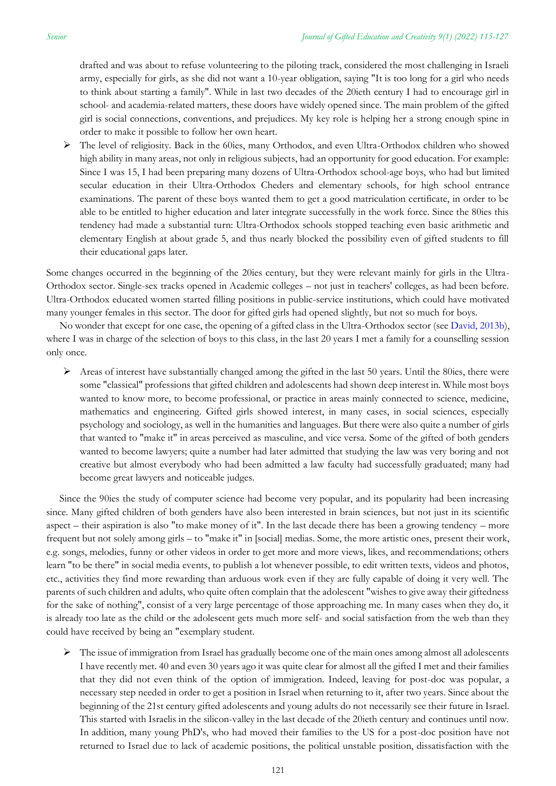drafted and was about to refuse volunteering to the piloting track, considered the most challenging in Israeli army, especially for girls, as she did not want a 10-year obligation, saying "It is too long for a girl who needs to think about starting a family". While in last two decades of the 20ieth century I had to encourage girl in school- and academia-related matters, these doors have widely opened since. The main problem of the gifted girl is social connections, conventions, and prejudices. My key role is helping her a strong enough spine in order to make it possible to follow her own heart.

➢ The level of religiosity. Back in the 60ies, many Orthodox, and even Ultra-Orthodox children who showed high ability in many areas, not only in religious subjects, had an opportunity for good education. For example: Since I was 15, I had been preparing many dozens of Ultra-Orthodox school-age boys, who had but limited secular education in their Ultra-Orthodox Cheders and elementary schools, for high school entrance examinations. The parent of these boys wanted them to get a good matriculation certificate, in order to be able to be entitled to higher education and later integrate successfully in the work force. Since the 80ies this tendency had made a substantial turn: Ultra-Orthodox schools stopped teaching even basic arithmetic and elementary English at about grade 5, and thus nearly blocked the possibility even of gifted students to fill their educational gaps later.

Some changes occurred in the beginning of the 20ies century, but they were relevant mainly for girls in the Ultra-Orthodox sector. Single-sex tracks opened in Academic colleges – not just in teachers' colleges, as had been before. Ultra-Orthodox educated women started filling positions in public-service institutions, which could have motivated many younger females in this sector. The door for gifted girls had opened slightly, but not so much for boys.

No wonder that except for one case, the opening of a gifted class in the Ultra-Orthodox sector (see [David, 2013b\)](#page-11-0), where I was in charge of the selection of boys to this class, in the last 20 years I met a family for a counselling session only once.

 $\triangleright$  Areas of interest have substantially changed among the gifted in the last 50 years. Until the 80ies, there were some "classical" professions that gifted children and adolescents had shown deep interest in. While most boys wanted to know more, to become professional, or practice in areas mainly connected to science, medicine, mathematics and engineering. Gifted girls showed interest, in many cases, in social sciences, especially psychology and sociology, as well in the humanities and languages. But there were also quite a number of girls that wanted to "make it" in areas perceived as masculine, and vice versa. Some of the gifted of both genders wanted to become lawyers; quite a number had later admitted that studying the law was very boring and not creative but almost everybody who had been admitted a law faculty had successfully graduated; many had become great lawyers and noticeable judges.

Since the 90ies the study of computer science had become very popular, and its popularity had been increasing since. Many gifted children of both genders have also been interested in brain sciences, but not just in its scientific aspect – their aspiration is also "to make money of it". In the last decade there has been a growing tendency – more frequent but not solely among girls – to "make it" in [social] medias. Some, the more artistic ones, present their work, e.g. songs, melodies, funny or other videos in order to get more and more views, likes, and recommendations; others learn "to be there" in social media events, to publish a lot whenever possible, to edit written texts, videos and photos, etc., activities they find more rewarding than arduous work even if they are fully capable of doing it very well. The parents of such children and adults, who quite often complain that the adolescent "wishes to give away their giftedness for the sake of nothing", consist of a very large percentage of those approaching me. In many cases when they do, it is already too late as the child or the adolescent gets much more self- and social satisfaction from the web than they could have received by being an "exemplary student.

➢ The issue of immigration from Israel has gradually become one of the main ones among almost all adolescents I have recently met. 40 and even 30 years ago it was quite clear for almost all the gifted I met and their families that they did not even think of the option of immigration. Indeed, leaving for post-doc was popular, a necessary step needed in order to get a position in Israel when returning to it, after two years. Since about the beginning of the 21st century gifted adolescents and young adults do not necessarily see their future in Israel. This started with Israelis in the silicon-valley in the last decade of the 20ieth century and continues until now. In addition, many young PhD's, who had moved their families to the US for a post-doc position have not returned to Israel due to lack of academic positions, the political unstable position, dissatisfaction with the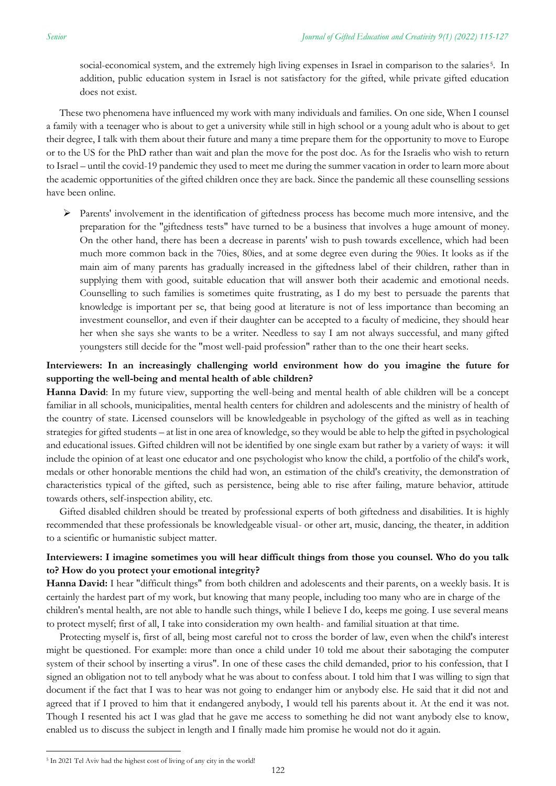social-economical system, and the extremely high living expenses in Israel in comparison to the salaries<sup>5</sup>. In addition, public education system in Israel is not satisfactory for the gifted, while private gifted education does not exist.

These two phenomena have influenced my work with many individuals and families. On one side, When I counsel a family with a teenager who is about to get a university while still in high school or a young adult who is about to get their degree, I talk with them about their future and many a time prepare them for the opportunity to move to Europe or to the US for the PhD rather than wait and plan the move for the post doc. As for the Israelis who wish to return to Israel – until the covid-19 pandemic they used to meet me during the summer vacation in order to learn more about the academic opportunities of the gifted children once they are back. Since the pandemic all these counselling sessions have been online.

➢ Parents' involvement in the identification of giftedness process has become much more intensive, and the preparation for the "giftedness tests" have turned to be a business that involves a huge amount of money. On the other hand, there has been a decrease in parents' wish to push towards excellence, which had been much more common back in the 70ies, 80ies, and at some degree even during the 90ies. It looks as if the main aim of many parents has gradually increased in the giftedness label of their children, rather than in supplying them with good, suitable education that will answer both their academic and emotional needs. Counselling to such families is sometimes quite frustrating, as I do my best to persuade the parents that knowledge is important per se, that being good at literature is not of less importance than becoming an investment counsellor, and even if their daughter can be accepted to a faculty of medicine, they should hear her when she says she wants to be a writer. Needless to say I am not always successful, and many gifted youngsters still decide for the "most well-paid profession" rather than to the one their heart seeks.

### **Interviewers: In an increasingly challenging world environment how do you imagine the future for supporting the well-being and mental health of able children?**

**Hanna David**: In my future view, supporting the well-being and mental health of able children will be a concept familiar in all schools, municipalities, mental health centers for children and adolescents and the ministry of health of the country of state. Licensed counselors will be knowledgeable in psychology of the gifted as well as in teaching strategies for gifted students – at list in one area of knowledge, so they would be able to help the gifted in psychological and educational issues. Gifted children will not be identified by one single exam but rather by a variety of ways: it will include the opinion of at least one educator and one psychologist who know the child, a portfolio of the child's work, medals or other honorable mentions the child had won, an estimation of the child's creativity, the demonstration of characteristics typical of the gifted, such as persistence, being able to rise after failing, mature behavior, attitude towards others, self-inspection ability, etc.

Gifted disabled children should be treated by professional experts of both giftedness and disabilities. It is highly recommended that these professionals be knowledgeable visual- or other art, music, dancing, the theater, in addition to a scientific or humanistic subject matter.

#### **Interviewers: I imagine sometimes you will hear difficult things from those you counsel. Who do you talk to? How do you protect your emotional integrity?**

**Hanna David:** I hear "difficult things" from both children and adolescents and their parents, on a weekly basis. It is certainly the hardest part of my work, but knowing that many people, including too many who are in charge of the children's mental health, are not able to handle such things, while I believe I do, keeps me going. I use several means to protect myself; first of all, I take into consideration my own health- and familial situation at that time.

Protecting myself is, first of all, being most careful not to cross the border of law, even when the child's interest might be questioned. For example: more than once a child under 10 told me about their sabotaging the computer system of their school by inserting a virus". In one of these cases the child demanded, prior to his confession, that I signed an obligation not to tell anybody what he was about to confess about. I told him that I was willing to sign that document if the fact that I was to hear was not going to endanger him or anybody else. He said that it did not and agreed that if I proved to him that it endangered anybody, I would tell his parents about it. At the end it was not. Though I resented his act I was glad that he gave me access to something he did not want anybody else to know, enabled us to discuss the subject in length and I finally made him promise he would not do it again.

<sup>&</sup>lt;sup>5</sup> In 2021 Tel Aviv had the highest cost of living of any city in the world!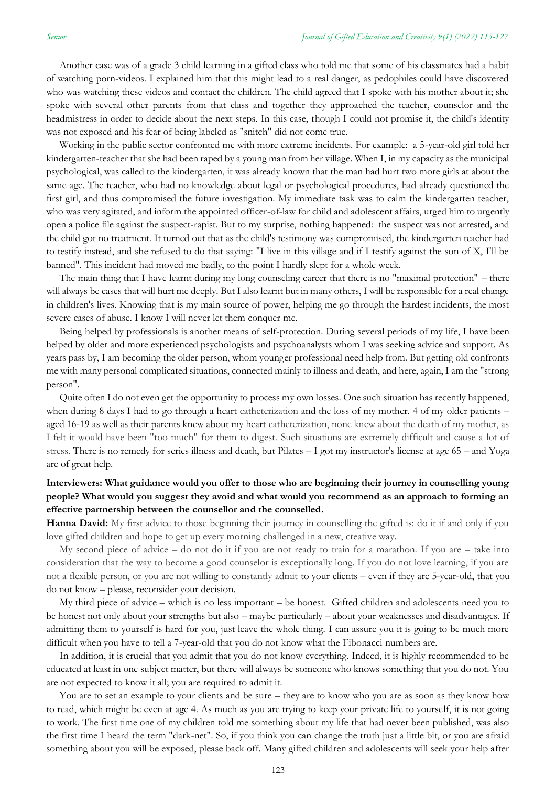Another case was of a grade 3 child learning in a gifted class who told me that some of his classmates had a habit of watching porn-videos. I explained him that this might lead to a real danger, as pedophiles could have discovered who was watching these videos and contact the children. The child agreed that I spoke with his mother about it; she spoke with several other parents from that class and together they approached the teacher, counselor and the headmistress in order to decide about the next steps. In this case, though I could not promise it, the child's identity was not exposed and his fear of being labeled as "snitch" did not come true.

Working in the public sector confronted me with more extreme incidents. For example: a 5-year-old girl told her kindergarten-teacher that she had been raped by a young man from her village. When I, in my capacity as the municipal psychological, was called to the kindergarten, it was already known that the man had hurt two more girls at about the same age. The teacher, who had no knowledge about legal or psychological procedures, had already questioned the first girl, and thus compromised the future investigation. My immediate task was to calm the kindergarten teacher, who was very agitated, and inform the appointed officer-of-law for child and adolescent affairs, urged him to urgently open a police file against the suspect-rapist. But to my surprise, nothing happened: the suspect was not arrested, and the child got no treatment. It turned out that as the child's testimony was compromised, the kindergarten teacher had to testify instead, and she refused to do that saying: "I live in this village and if I testify against the son of X, I'll be banned". This incident had moved me badly, to the point I hardly slept for a whole week.

The main thing that I have learnt during my long counseling career that there is no "maximal protection" – there will always be cases that will hurt me deeply. But I also learnt but in many others, I will be responsible for a real change in children's lives. Knowing that is my main source of power, helping me go through the hardest incidents, the most severe cases of abuse. I know I will never let them conquer me.

Being helped by professionals is another means of self-protection. During several periods of my life, I have been helped by older and more experienced psychologists and psychoanalysts whom I was seeking advice and support. As years pass by, I am becoming the older person, whom younger professional need help from. But getting old confronts me with many personal complicated situations, connected mainly to illness and death, and here, again, I am the "strong person".

Quite often I do not even get the opportunity to process my own losses. One such situation has recently happened, when during 8 days I had to go through a heart catheterization and the loss of my mother. 4 of my older patients – aged 16-19 as well as their parents knew about my heart catheterization, none knew about the death of my mother, as I felt it would have been "too much" for them to digest. Such situations are extremely difficult and cause a lot of stress. There is no remedy for series illness and death, but Pilates – I got my instructor's license at age 65 – and Yoga are of great help.

### **Interviewers: What guidance would you offer to those who are beginning their journey in counselling young people? What would you suggest they avoid and what would you recommend as an approach to forming an effective partnership between the counsellor and the counselled.**

**Hanna David:** My first advice to those beginning their journey in counselling the gifted is: do it if and only if you love gifted children and hope to get up every morning challenged in a new, creative way.

My second piece of advice – do not do it if you are not ready to train for a marathon. If you are – take into consideration that the way to become a good counselor is exceptionally long. If you do not love learning, if you are not a flexible person, or you are not willing to constantly admit to your clients – even if they are 5-year-old, that you do not know – please, reconsider your decision.

My third piece of advice – which is no less important – be honest. Gifted children and adolescents need you to be honest not only about your strengths but also – maybe particularly – about your weaknesses and disadvantages. If admitting them to yourself is hard for you, just leave the whole thing. I can assure you it is going to be much more difficult when you have to tell a 7-year-old that you do not know what the Fibonacci numbers are.

In addition, it is crucial that you admit that you do not know everything. Indeed, it is highly recommended to be educated at least in one subject matter, but there will always be someone who knows something that you do not. You are not expected to know it all; you are required to admit it.

You are to set an example to your clients and be sure – they are to know who you are as soon as they know how to read, which might be even at age 4. As much as you are trying to keep your private life to yourself, it is not going to work. The first time one of my children told me something about my life that had never been published, was also the first time I heard the term "dark-net". So, if you think you can change the truth just a little bit, or you are afraid something about you will be exposed, please back off. Many gifted children and adolescents will seek your help after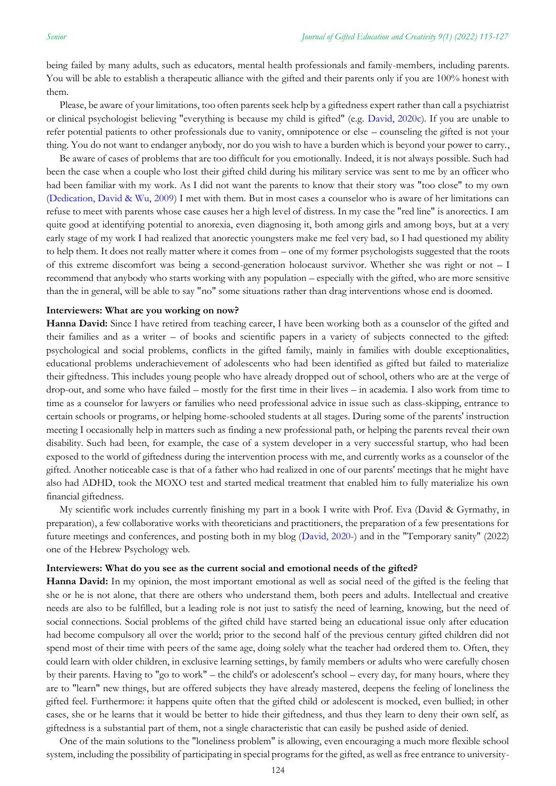being failed by many adults, such as educators, mental health professionals and family-members, including parents. You will be able to establish a therapeutic alliance with the gifted and their parents only if you are  $100\%$  honest with them.

Please, be aware of your limitations, too often parents seek help by a giftedness expert rather than call a psychiatrist or clinical psychologist believing "everything is because my child is gifted" (e.g. [David, 2020c\)](#page-11-0). If you are unable to refer potential patients to other professionals due to vanity, omnipotence or else – counseling the gifted is not your thing. You do not want to endanger anybody, nor do you wish to have a burden which is beyond your power to carry.,

Be aware of cases of problems that are too difficult for you emotionally. Indeed, it is not always possible. Such had been the case when a couple who lost their gifted child during his military service was sent to me by an officer who had been familiar with my work. As I did not want the parents to know that their story was "too close" to my own [\(Dedication, David & Wu, 2009\)](#page-11-0) I met with them. But in most cases a counselor who is aware of her limitations can refuse to meet with parents whose case causes her a high level of distress. In my case the "red line" is anorectics. I am quite good at identifying potential to anorexia, even diagnosing it, both among girls and among boys, but at a very early stage of my work I had realized that anorectic youngsters make me feel very bad, so I had questioned my ability to help them. It does not really matter where it comes from – one of my former psychologists suggested that the roots of this extreme discomfort was being a second-generation holocaust survivor. Whether she was right or not – I recommend that anybody who starts working with any population – especially with the gifted, who are more sensitive than the in general, will be able to say "no" some situations rather than drag interventions whose end is doomed.

#### **Interviewers: What are you working on now?**

**Hanna David:** Since I have retired from teaching career, I have been working both as a counselor of the gifted and their families and as a writer – of books and scientific papers in a variety of subjects connected to the gifted: psychological and social problems, conflicts in the gifted family, mainly in families with double exceptionalities, educational problems underachievement of adolescents who had been identified as gifted but failed to materialize their giftedness. This includes young people who have already dropped out of school, others who are at the verge of drop-out, and some who have failed – mostly for the first time in their lives – in academia. I also work from time to time as a counselor for lawyers or families who need professional advice in issue such as class-skipping, entrance to certain schools or programs, or helping home-schooled students at all stages. During some of the parents' instruction meeting I occasionally help in matters such as finding a new professional path, or helping the parents reveal their own disability. Such had been, for example, the case of a system developer in a very successful startup, who had been exposed to the world of giftedness during the intervention process with me, and currently works as a counselor of the gifted. Another noticeable case is that of a father who had realized in one of our parents' meetings that he might have also had ADHD, took the MOXO test and started medical treatment that enabled him to fully materialize his own financial giftedness.

My scientific work includes currently finishing my part in a book I write with Prof. Eva (David & Gyrmathy, in preparation), a few collaborative works with theoreticians and practitioners, the preparation of a few presentations for future meetings and conferences, and posting both in my blog [\(David, 2020-](#page-11-0)) and in the "Temporary sanity" (2022) one of the Hebrew Psychology web.

#### **Interviewers: What do you see as the current social and emotional needs of the gifted?**

**Hanna David:** In my opinion, the most important emotional as well as social need of the gifted is the feeling that she or he is not alone, that there are others who understand them, both peers and adults. Intellectual and creative needs are also to be fulfilled, but a leading role is not just to satisfy the need of learning, knowing, but the need of social connections. Social problems of the gifted child have started being an educational issue only after education had become compulsory all over the world; prior to the second half of the previous century gifted children did not spend most of their time with peers of the same age, doing solely what the teacher had ordered them to. Often, they could learn with older children, in exclusive learning settings, by family members or adults who were carefully chosen by their parents. Having to "go to work" – the child's or adolescent's school – every day, for many hours, where they are to "learn" new things, but are offered subjects they have already mastered, deepens the feeling of loneliness the gifted feel. Furthermore: it happens quite often that the gifted child or adolescent is mocked, even bullied; in other cases, she or he learns that it would be better to hide their giftedness, and thus they learn to deny their own self, as giftedness is a substantial part of them, not a single characteristic that can easily be pushed aside of denied.

One of the main solutions to the "loneliness problem" is allowing, even encouraging a much more flexible school system, including the possibility of participating in special programs for the gifted, as well as free entrance to university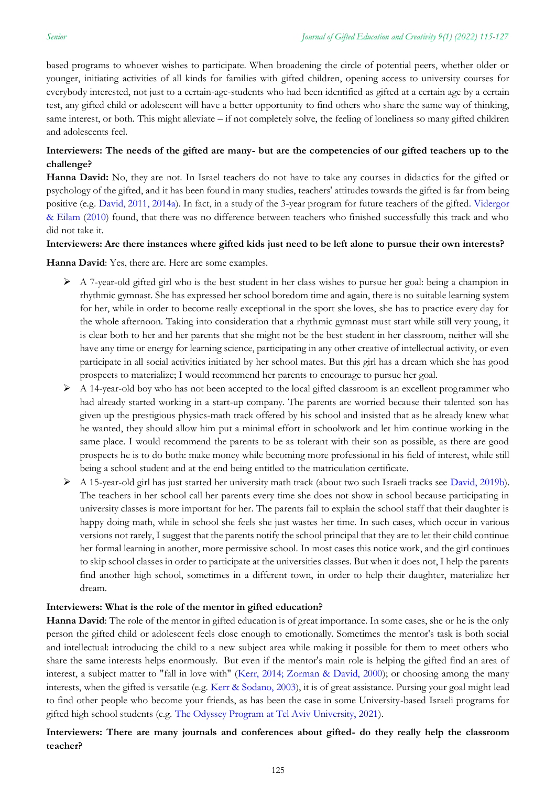based programs to whoever wishes to participate. When broadening the circle of potential peers, whether older or younger, initiating activities of all kinds for families with gifted children, opening access to university courses for everybody interested, not just to a certain-age-students who had been identified as gifted at a certain age by a certain test, any gifted child or adolescent will have a better opportunity to find others who share the same way of thinking, same interest, or both. This might alleviate – if not completely solve, the feeling of loneliness so many gifted children and adolescents feel.

# **Interviewers: The needs of the gifted are many- but are the competencies of our gifted teachers up to the challenge?**

**Hanna David:** No, they are not. In Israel teachers do not have to take any courses in didactics for the gifted or psychology of the gifted, and it has been found in many studies, teachers' attitudes towards the gifted is far from being positive (e.g. [David, 2011, 2014a\)](#page-11-0). In fact, in a study of the 3-year program for future teachers of the gifted. [Vidergor](#page-11-0)  [& Eilam](#page-11-0) [\(2010\)](#page-11-0) found, that there was no difference between teachers who finished successfully this track and who did not take it.

#### **Interviewers: Are there instances where gifted kids just need to be left alone to pursue their own interests?**

**Hanna David**: Yes, there are. Here are some examples.

- ➢ A 7-year-old gifted girl who is the best student in her class wishes to pursue her goal: being a champion in rhythmic gymnast. She has expressed her school boredom time and again, there is no suitable learning system for her, while in order to become really exceptional in the sport she loves, she has to practice every day for the whole afternoon. Taking into consideration that a rhythmic gymnast must start while still very young, it is clear both to her and her parents that she might not be the best student in her classroom, neither will she have any time or energy for learning science, participating in any other creative of intellectual activity, or even participate in all social activities initiated by her school mates. But this girl has a dream which she has good prospects to materialize; I would recommend her parents to encourage to pursue her goal.
- $\triangleright$  A 14-year-old boy who has not been accepted to the local gifted classroom is an excellent programmer who had already started working in a start-up company. The parents are worried because their talented son has given up the prestigious physics-math track offered by his school and insisted that as he already knew what he wanted, they should allow him put a minimal effort in schoolwork and let him continue working in the same place. I would recommend the parents to be as tolerant with their son as possible, as there are good prospects he is to do both: make money while becoming more professional in his field of interest, while still being a school student and at the end being entitled to the matriculation certificate.
- ➢ A 15-year-old girl has just started her university math track (about two such Israeli tracks see [David, 2019b\)](#page-11-0). The teachers in her school call her parents every time she does not show in school because participating in university classes is more important for her. The parents fail to explain the school staff that their daughter is happy doing math, while in school she feels she just wastes her time. In such cases, which occur in various versions not rarely, I suggest that the parents notify the school principal that they are to let their child continue her formal learning in another, more permissive school. In most cases this notice work, and the girl continues to skip school classes in order to participate at the universities classes. But when it does not, I help the parents find another high school, sometimes in a different town, in order to help their daughter, materialize her dream.

#### **Interviewers: What is the role of the mentor in gifted education?**

**Hanna David**: The role of the mentor in gifted education is of great importance. In some cases, she or he is the only person the gifted child or adolescent feels close enough to emotionally. Sometimes the mentor's task is both social and intellectual: introducing the child to a new subject area while making it possible for them to meet others who share the same interests helps enormously. But even if the mentor's main role is helping the gifted find an area of interest, a subject matter to "fall in love with" [\(Kerr, 2014; Zorman & David, 2000\)](#page-11-0); or choosing among the many interests, when the gifted is versatile (e.g. [Kerr & Sodano, 2003\)](#page-11-0), it is of great assistance. Pursing your goal might lead to find other people who become your friends, as has been the case in some University-based Israeli programs for gifted high school students (e.g. [The Odyssey Program at Tel Aviv University, 2021\)](#page-11-0).

### **Interviewers: There are many journals and conferences about gifted- do they really help the classroom teacher?**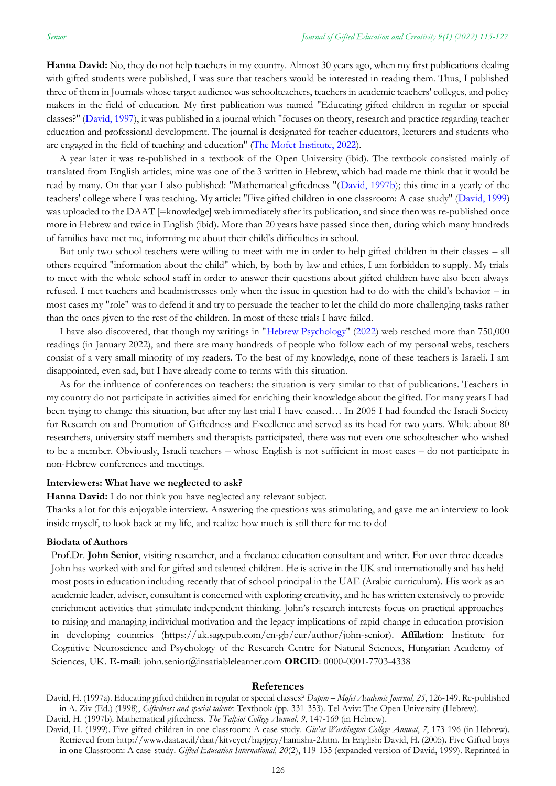**Hanna David:** No, they do not help teachers in my country. Almost 30 years ago, when my first publications dealing with gifted students were published, I was sure that teachers would be interested in reading them. Thus, I published three of them in Journals whose target audience was schoolteachers, teachers in academic teachers' colleges, and policy makers in the field of education. My first publication was named "Educating gifted children in regular or special classes?" [\(David, 1997\)](#page-11-0), it was published in a journal which "focuses on theory, research and practice regarding teacher education and professional development. The journal is designated for teacher educators, lecturers and students who are engaged in the field of teaching and education" [\(The Mofet Institute, 2022\)](#page-11-0).

A year later it was re-published in a textbook of the Open University (ibid). The textbook consisted mainly of translated from English articles; mine was one of the 3 written in Hebrew, which had made me think that it would be read by many. On that year I also published: "Mathematical giftedness "[\(David, 1997b\)](#page-11-0); this time in a yearly of the teachers' college where I was teaching. My article: "Five gifted children in one classroom: A case study" [\(David, 1999\)](#page-11-0) was uploaded to the DAAT [=knowledge] web immediately after its publication, and since then was re-published once more in Hebrew and twice in English (ibid). More than 20 years have passed since then, during which many hundreds of families have met me, informing me about their child's difficulties in school.

But only two school teachers were willing to meet with me in order to help gifted children in their classes – all others required "information about the child" which, by both by law and ethics, I am forbidden to supply. My trials to meet with the whole school staff in order to answer their questions about gifted children have also been always refused. I met teachers and headmistresses only when the issue in question had to do with the child's behavior – in most cases my "role" was to defend it and try to persuade the teacher to let the child do more challenging tasks rather than the ones given to the rest of the children. In most of these trials I have failed.

I have also discovered, that though my writings in ["Hebrew Psychology"](#page-11-0) [\(2022\)](#page-11-0) web reached more than 750,000 readings (in January 2022), and there are many hundreds of people who follow each of my personal webs, teachers consist of a very small minority of my readers. To the best of my knowledge, none of these teachers is Israeli. I am disappointed, even sad, but I have already come to terms with this situation.

As for the influence of conferences on teachers: the situation is very similar to that of publications. Teachers in my country do not participate in activities aimed for enriching their knowledge about the gifted. For many years I had been trying to change this situation, but after my last trial I have ceased… In 2005 I had founded the Israeli Society for Research on and Promotion of Giftedness and Excellence and served as its head for two years. While about 80 researchers, university staff members and therapists participated, there was not even one schoolteacher who wished to be a member. Obviously, Israeli teachers – whose English is not sufficient in most cases – do not participate in non-Hebrew conferences and meetings.

#### **Interviewers: What have we neglected to ask?**

**Hanna David:** I do not think you have neglected any relevant subject.

Thanks a lot for this enjoyable interview. Answering the questions was stimulating, and gave me an interview to look inside myself, to look back at my life, and realize how much is still there for me to do!

#### **Biodata of Authors**

Prof.Dr. **John Senior**, visiting researcher, and a freelance education consultant and writer. For over three decades John has worked with and for gifted and talented children. He is active in the UK and internationally and has held most posts in education including recently that of school principal in the UAE (Arabic curriculum). His work as an academic leader, adviser, consultant is concerned with exploring creativity, and he has written extensively to provide enrichment activities that stimulate independent thinking. John's research interests focus on practical approaches to raising and managing individual motivation and the legacy implications of rapid change in education provision in developing countries [\(https://uk.sagepub.com/en-gb/eur/author/john-senior\)](https://uk.sagepub.com/en-gb/eur/author/john-senior). **Affilation**: Institute for Cognitive Neuroscience and Psychology of the Research Centre for Natural Sciences, Hungarian Academy of Sciences, UK. **E-mail**: [john.senior@insatiablelearner.com](mailto:john.senior@insatiablelearner.com) **ORCID**: 0000-0001-7703-4338

#### <span id="page-11-0"></span>**References**

David, H. (1997a). Educating gifted children in regular or special classes? *Dapim – Mofet Academic Journal, 25*, 126-149. Re-published in A. Ziv (Ed.) (1998), *Giftedness and special talents*: Textbook (pp. 331-353). Tel Aviv: The Open University (Hebrew).

David, H. (1997b). Mathematical giftedness. *The Talpiot College Annual, 9*, 147-169 (in Hebrew).

David, H. (1999). Five gifted children in one classroom: A case study. *Giv'at Washington College Annual*, *7*, 173-196 (in Hebrew). Retrieved from [http://www.daat.ac.il/daat/kitveyet/hagigey/hamisha-2.htm.](http://www.daat.ac.il/daat/kitveyet/hagigey/hamisha-2.htm) In English: David, H. (2005). Five Gifted boys in one Classroom: A case-study. *Gifted Education International, 20*(2), 119-135 (expanded version of David, 1999). Reprinted in